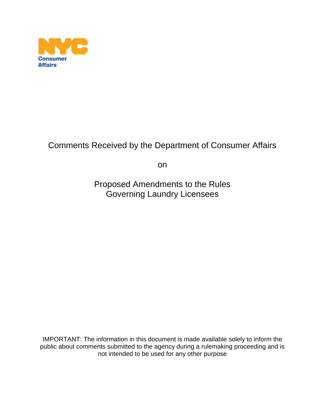

## Comments Received by the Department of Consumer Affairs

on

Proposed Amendments to the Rules Governing Laundry Licensees

IMPORTANT: The information in this document is made available solely to inform the public about comments submitted to the agency during a rulemaking proceeding and is not intended to be used for any other purpose